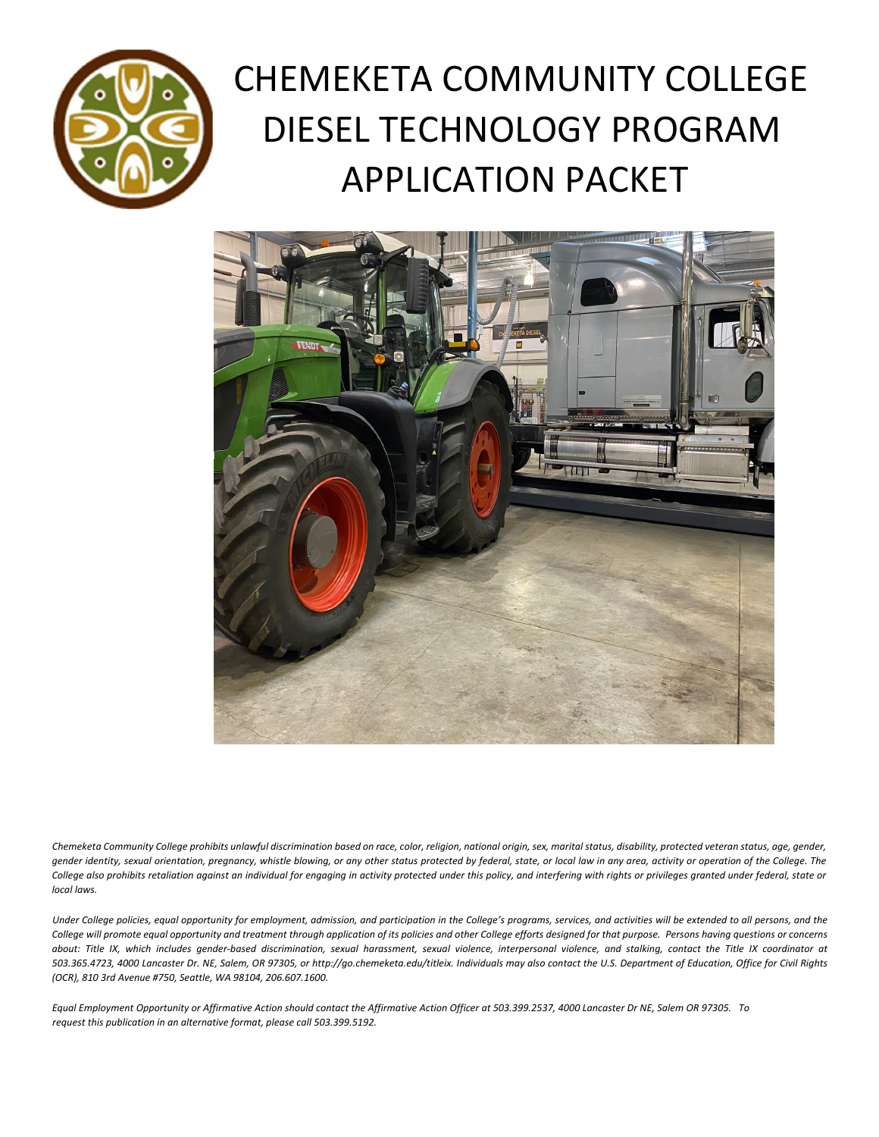

# CHEMEKETA COMMUNITY COLLEGE DIESEL TECHNOLOGY PROGRAM APPLICATION PACKET



Chemeketa Community College prohibits unlawful discrimination based on race, color, religion, national origin, sex, marital status, disability, protected veteran status, age, gender, gender identity, sexual orientation, pregnancy, whistle blowing, or any other status protected by federal, state, or local law in any area, activity or operation of the College. The College also prohibits retaliation against an individual for engaging in activity protected under this policy, and interfering with rights or privileges granted under federal, state or *local laws.* 

Under College policies, equal opportunity for employment, admission, and participation in the College's programs, services, and activities will be extended to all persons, and the College will promote equal opportunity and treatment through application of its policies and other College efforts designed for that purpose. Persons having questions or concerns about: Title IX, which includes gender-based discrimination, sexual harassment, sexual violence, interpersonal violence, and stalking, contact the Title IX coordinator at 503.365.4723, 4000 Lancaster Dr. NE, Salem, OR 97305, or http://go.chemeketa.edu/titleix. Individuals may also contact the U.S. Department of Education, Office for Civil Rights *(OCR), 810 3rd Avenue #750, Seattle, WA 98104, 206.607.1600.* 

Equal Employment Opportunity or Affirmative Action should contact the Affirmative Action Officer at 503.399.2537, 4000 Lancaster Dr NE, Salem OR 97305. To *request this publication in an alternative format, please call 503.399.5192.*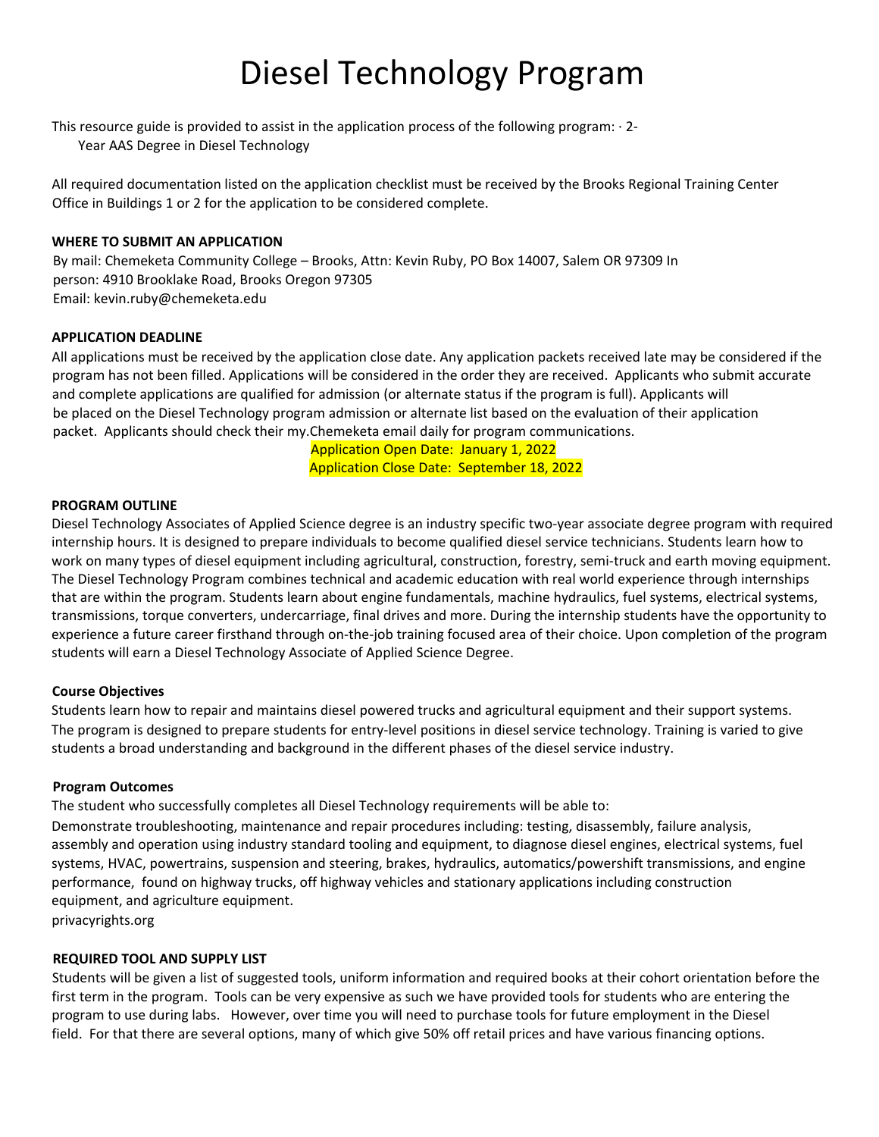## Diesel Technology Program

This resource guide is provided to assist in the application process of the following program: ∙ 2‐

Year AAS Degree in Diesel Technology

All required documentation listed on the application checklist must be received by the Brooks Regional Training Center Office in Buildings 1 or 2 for the application to be considered complete.

#### **WHERE TO SUBMIT AN APPLICATION**

By mail: Chemeketa Community College – Brooks, Attn: Kevin Ruby, PO Box 14007, Salem OR 97309 In person: 4910 Brooklake Road, Brooks Oregon 97305 Email: kevin.ruby@chemeketa.edu

#### **APPLICATION DEADLINE**

All applications must be received by the application close date. Any application packets received late may be considered if the program has not been filled. Applications will be considered in the order they are received. Applicants who submit accurate and complete applications are qualified for admission (or alternate status if the program is full). Applicants will be placed on the Diesel Technology program admission or alternate list based on the evaluation of their application packet. Applicants should check their my.Chemeketa email daily for program communications.

> Application Open Date: January 1, 2022 Application Close Date: September 18, 2022

#### **PROGRAM OUTLINE**

Diesel Technology Associates of Applied Science degree is an industry specific two-year associate degree program with required internship hours. It is designed to prepare individuals to become qualified diesel service technicians. Students learn how to work on many types of diesel equipment including agricultural, construction, forestry, semi-truck and earth moving equipment. The Diesel Technology Program combines technical and academic education with real world experience through internships that are within the program. Students learn about engine fundamentals, machine hydraulics, fuel systems, electrical systems, transmissions, torque converters, undercarriage, final drives and more. During the internship students have the opportunity to experience a future career firsthand through on‐the‐job training focused area of their choice. Upon completion of the program students will earn a Diesel Technology Associate of Applied Science Degree.

#### **Course Objectives**

Students learn how to repair and maintains diesel powered trucks and agricultural equipment and their support systems. The program is designed to prepare students for entry‐level positions in diesel service technology. Training is varied to give students a broad understanding and background in the different phases of the diesel service industry.

#### **Program Outcomes**

The student who successfully completes all Diesel Technology requirements will be able to:

Demonstrate troubleshooting, maintenance and repair procedures including: testing, disassembly, failure analysis, assembly and operation using industry standard tooling and equipment, to diagnose diesel engines, electrical systems, fuel systems, HVAC, powertrains, suspension and steering, brakes, hydraulics, automatics/powershift transmissions, and engine performance, found on highway trucks, off highway vehicles and stationary applications including construction equipment, and agriculture equipment.

privacyrights.org

#### **REQUIRED TOOL AND SUPPLY LIST**

Students will be given a list of suggested tools, uniform information and required books at their cohort orientation before the first term in the program. Tools can be very expensive as such we have provided tools for students who are entering the program to use during labs. However, over time you will need to purchase tools for future employment in the Diesel field. For that there are several options, many of which give 50% off retail prices and have various financing options.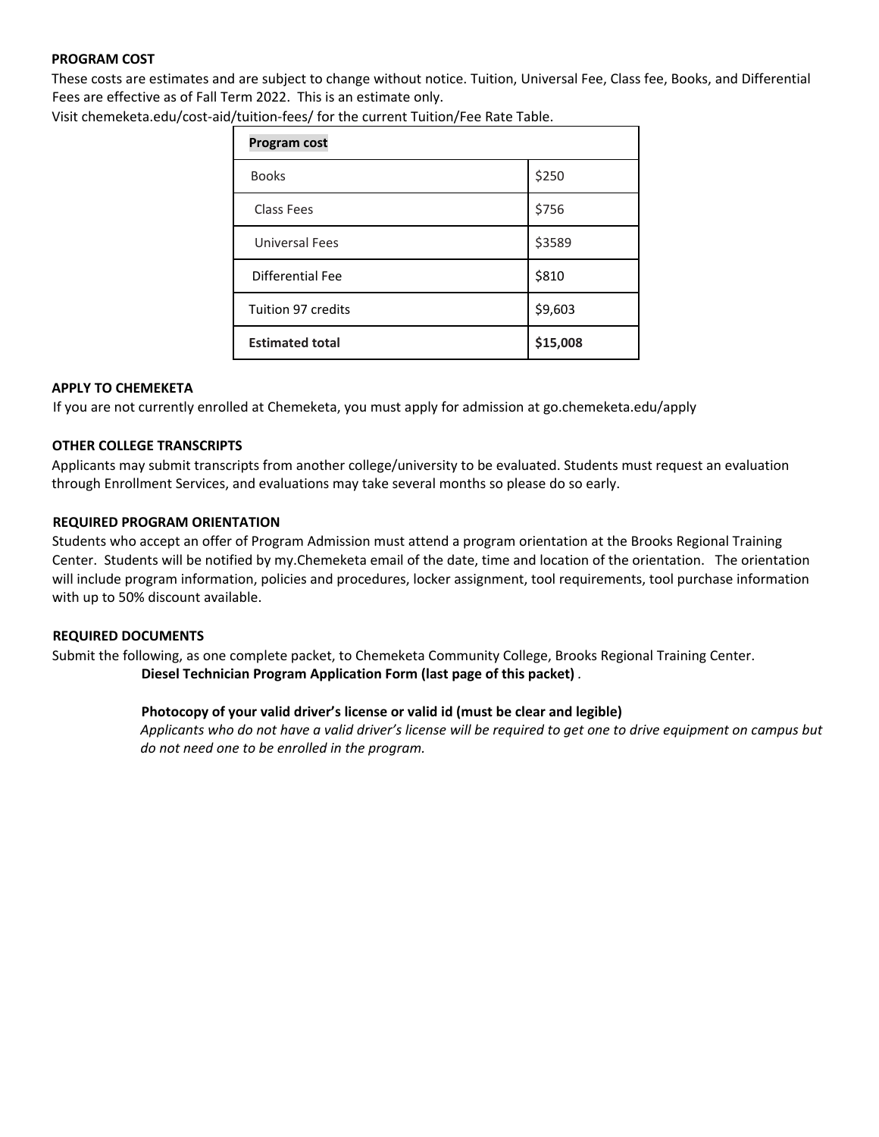#### **PROGRAM COST**

These costs are estimates and are subject to change without notice. Tuition, Universal Fee, Class fee, Books, and Differential Fees are effective as of Fall Term 2022. This is an estimate only.

Visit chemeketa.edu/cost‐aid/tuition‐fees/ for the current Tuition/Fee Rate Table.

| Program cost              |          |  |  |  |
|---------------------------|----------|--|--|--|
| <b>Books</b>              | \$250    |  |  |  |
| Class Fees                | \$756    |  |  |  |
| <b>Universal Fees</b>     | \$3589   |  |  |  |
| Differential Fee          | \$810    |  |  |  |
| <b>Tuition 97 credits</b> | \$9,603  |  |  |  |
| <b>Estimated total</b>    | \$15,008 |  |  |  |

#### **APPLY TO CHEMEKETA**

If you are not currently enrolled at Chemeketa, you must apply for admission at go.chemeketa.edu/apply

#### **OTHER COLLEGE TRANSCRIPTS**

Applicants may submit transcripts from another college/university to be evaluated. Students must request an evaluation through Enrollment Services, and evaluations may take several months so please do so early.

#### **REQUIRED PROGRAM ORIENTATION**

Students who accept an offer of Program Admission must attend a program orientation at the Brooks Regional Training Center. Students will be notified by my.Chemeketa email of the date, time and location of the orientation. The orientation will include program information, policies and procedures, locker assignment, tool requirements, tool purchase information with up to 50% discount available.

#### **REQUIRED DOCUMENTS**

Submit the following, as one complete packet, to Chemeketa Community College, Brooks Regional Training Center. **Diesel Technician Program Application Form (last page of this packet)** *.*

#### **Photocopy of your valid driver's license or valid id (must be clear and legible)**

Applicants who do not have a valid driver's license will be required to get one to drive equipment on campus but *do not need one to be enrolled in the program.*